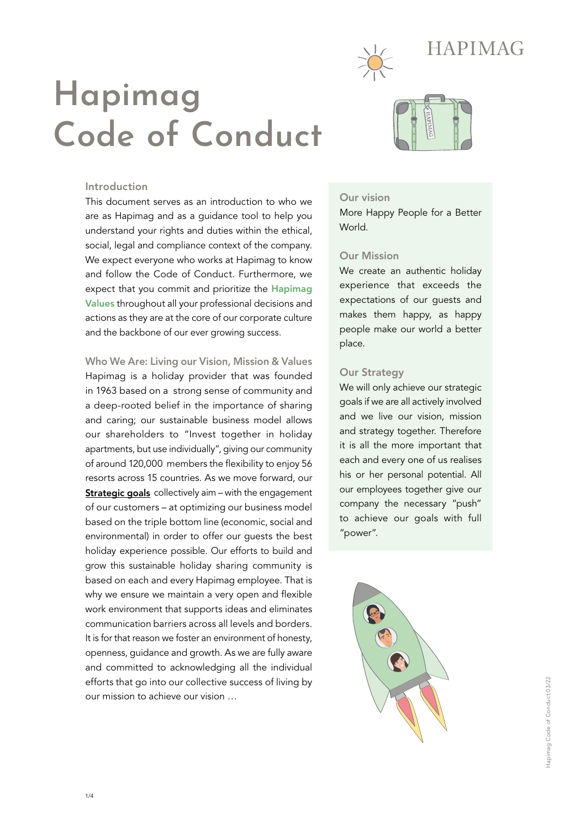

# **Hapimag Code of Conduct**



# Introduction

This document serves as an introduction to who we are as Hapimag and as a guidance tool to help you understand your rights and duties within the ethical, social, legal and compliance context of the company. We expect everyone who works at Hapimag to know and follow the Code of Conduct. Furthermore, we expect that you commit and prioritize the Hapimag Values throughout all your professional decisions and actions as they are at the core of our corporate culture and the backbone of our ever growing success.

Who We Are: Living our Vision, Mission & Values Hapimag is a holiday provider that was founded in 1963 based on a strong sense of community and a deep-rooted belief in the importance of sharing and caring; our sustainable business model allows our shareholders to "Invest together in holiday apartments, but use individually", giving our community of around 120,000 members the flexibility to enjoy 56 resorts across 15 countries. As we move forward, our <u>**Strategic goals**</u> collectively aim – with the engagement of our customers – at optimizing our business model based on the triple bottom line (economic, social and environmental) in order to offer our guests the best holiday experience possible. Our efforts to build and grow this sustainable holiday sharing community is based on each and every Hapimag employee. That is why we ensure we maintain a very open and flexible work environment that supports ideas and eliminates communication barriers across all levels and borders. It is for that reason we foster an environment of honesty, openness, guidance and growth. As we are fully aware and committed to acknowledging all the individual efforts that go into our collective success of living by our mission to achieve our vision …

# Our vision

More Happy People for a Better World.

# Our Mission

We create an authentic holiday experience that exceeds the expectations of our guests and makes them happy, as happy people make our world a better place.

#### Our Strategy

We will only achieve our strategic goals if we are all actively involved and we live our vision, mission and strategy together. Therefore it is all the more important that each and every one of us realises his or her personal potential. All our employees together give our company the necessary "push" to achieve our goals with full "power".

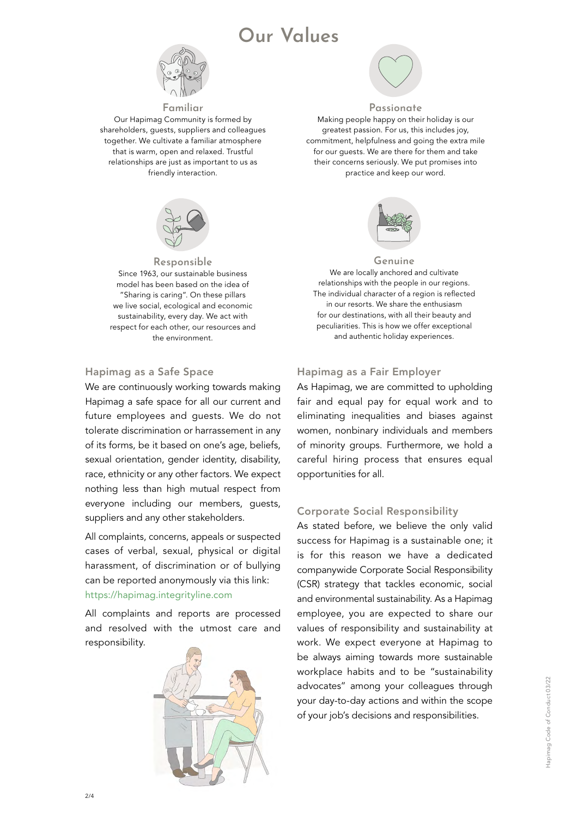# **Our Values**



**Familiar** Our Hapimag Community is formed by shareholders, guests, suppliers and colleagues together. We cultivate a familiar atmosphere that is warm, open and relaxed. Trustful relationships are just as important to us as friendly interaction.



**Responsible** Since 1963, our sustainable business model has been based on the idea of "Sharing is caring". On these pillars we live social, ecological and economic sustainability, every day. We act with respect for each other, our resources and the environment.

# Hapimag as a Safe Space

We are continuously working towards making Hapimag a safe space for all our current and future employees and guests. We do not tolerate discrimination or harrassement in any of its forms, be it based on one's age, beliefs, sexual orientation, gender identity, disability, race, ethnicity or any other factors. We expect nothing less than high mutual respect from everyone including our members, guests, suppliers and any other stakeholders.

All complaints, concerns, appeals or suspected cases of verbal, sexual, physical or digital harassment, of discrimination or of bullying can be reported anonymously via this link: https://hapimag.integrityline.com

All complaints and reports are processed and resolved with the utmost care and responsibility.





#### **Passionate**

Making people happy on their holiday is our greatest passion. For us, this includes joy, commitment, helpfulness and going the extra mile for our guests. We are there for them and take their concerns seriously. We put promises into practice and keep our word.



#### **Genuine**

We are locally anchored and cultivate relationships with the people in our regions. The individual character of a region is reflected in our resorts. We share the enthusiasm for our destinations, with all their beauty and peculiarities. This is how we offer exceptional and authentic holiday experiences.

#### Hapimag as a Fair Employer

As Hapimag, we are committed to upholding fair and equal pay for equal work and to eliminating inequalities and biases against women, nonbinary individuals and members of minority groups. Furthermore, we hold a careful hiring process that ensures equal opportunities for all.

#### Corporate Social Responsibility

As stated before, we believe the only valid success for Hapimag is a sustainable one; it is for this reason we have a dedicated companywide Corporate Social Responsibility (CSR) strategy that tackles economic, social and environmental sustainability. As a Hapimag employee, you are expected to share our values of responsibility and sustainability at work. We expect everyone at Hapimag to be always aiming towards more sustainable workplace habits and to be "sustainability advocates" among your colleagues through your day-to-day actions and within the scope of your job's decisions and responsibilities.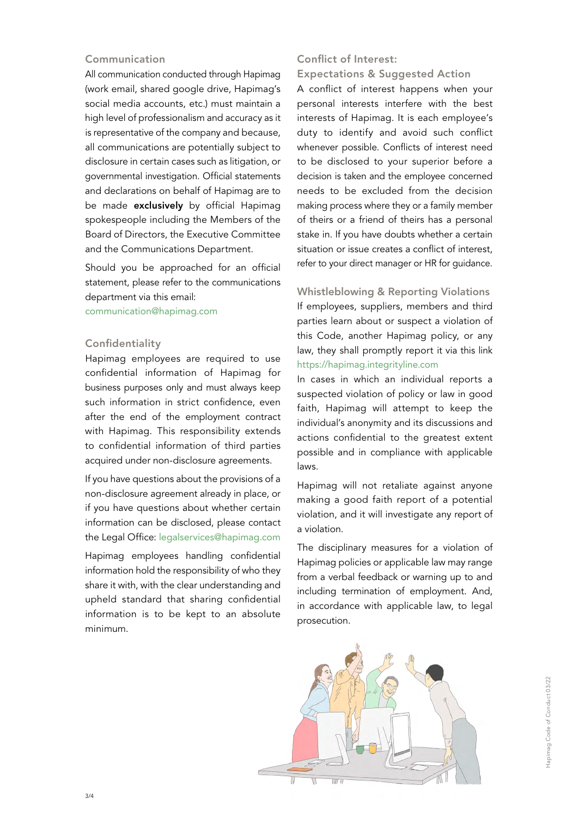# Communication

All communication conducted through Hapimag (work email, shared google drive, Hapimag's social media accounts, etc.) must maintain a high level of professionalism and accuracy as it is representative of the company and because, all communications are potentially subject to disclosure in certain cases such as litigation, or governmental investigation. Official statements and declarations on behalf of Hapimag are to be made **exclusively** by official Hapimag spokespeople including the Members of the Board of Directors, the Executive Committee and the Communications Department.

Should you be approached for an official statement, please refer to the communications department via this email:

communication@hapimag.com

# Confidentiality

Hapimag employees are required to use confidential information of Hapimag for business purposes only and must always keep such information in strict confidence, even after the end of the employment contract with Hapimag. This responsibility extends to confidential information of third parties acquired under non-disclosure agreements.

If you have questions about the provisions of a non-disclosure agreement already in place, or if you have questions about whether certain information can be disclosed, please contact the Legal Office: legalservices@hapimag.com

Hapimag employees handling confidential information hold the responsibility of who they share it with, with the clear understanding and upheld standard that sharing confidential information is to be kept to an absolute minimum.

# Conflict of Interest:

Expectations & Suggested Action

A conflict of interest happens when your personal interests interfere with the best interests of Hapimag. It is each employee's duty to identify and avoid such conflict whenever possible. Conflicts of interest need to be disclosed to your superior before a decision is taken and the employee concerned needs to be excluded from the decision making process where they or a family member of theirs or a friend of theirs has a personal stake in. If you have doubts whether a certain situation or issue creates a conflict of interest, refer to your direct manager or HR for guidance.

Whistleblowing & Reporting Violations If employees, suppliers, members and third parties learn about or suspect a violation of this Code, another Hapimag policy, or any law, they shall promptly report it via this link https://hapimag.integrityline.com

In cases in which an individual reports a suspected violation of policy or law in good faith, Hapimag will attempt to keep the individual's anonymity and its discussions and actions confidential to the greatest extent possible and in compliance with applicable laws.

Hapimag will not retaliate against anyone making a good faith report of a potential violation, and it will investigate any report of a violation.

The disciplinary measures for a violation of Hapimag policies or applicable law may range from a verbal feedback or warning up to and including termination of employment. And, in accordance with applicable law, to legal prosecution.